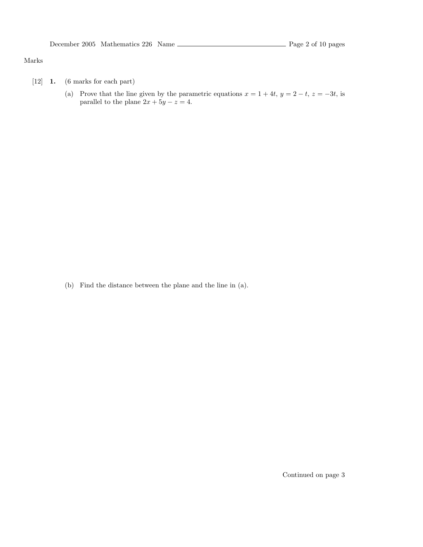#### Marks

- [12] 1. (6 marks for each part)
	- (a) Prove that the line given by the parametric equations  $x = 1 + 4t$ ,  $y = 2 t$ ,  $z = -3t$ , is parallel to the plane  $2x + 5y - z = 4$ .

(b) Find the distance between the plane and the line in (a).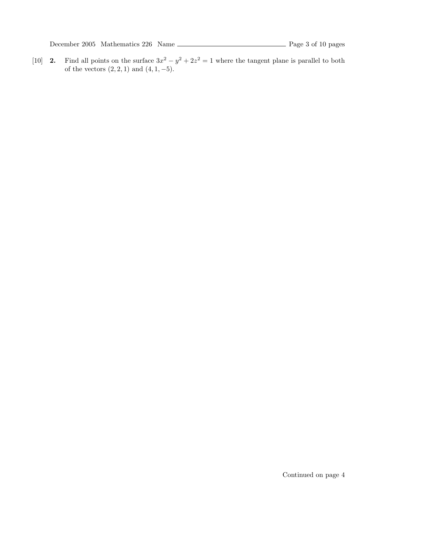[10] **2.** Find all points on the surface  $3x^2 - y^2 + 2z^2 = 1$  where the tangent plane is parallel to both of the vectors  $(2, 2, 1)$  and  $(4, 1, -5)$ .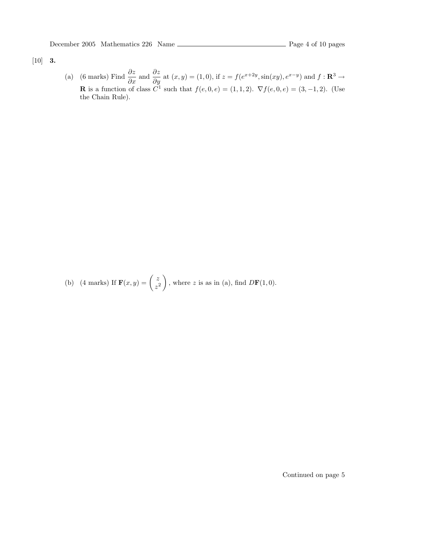### [10] 3.

(a) (6 marks) Find  $\frac{\partial z}{\partial x}$  and  $\frac{\partial z}{\partial y}$  at  $(x, y) = (1, 0)$ , if  $z = f(e^{x+2y}, \sin(xy), e^{x-y})$  and  $f: \mathbb{R}^3 \to$ **R** is a function of class  $C^1$  such that  $f(e, 0, e) = (1, 1, 2)$ .  $\nabla f(e, 0, e) = (3, -1, 2)$ . (Use the Chain Rule).

(b) (4 marks) If  $\mathbf{F}(x, y) = \begin{pmatrix} z \\ z \end{pmatrix}$  $z^2$ ), where z is as in (a), find  $D\mathbf{F}(1,0)$ .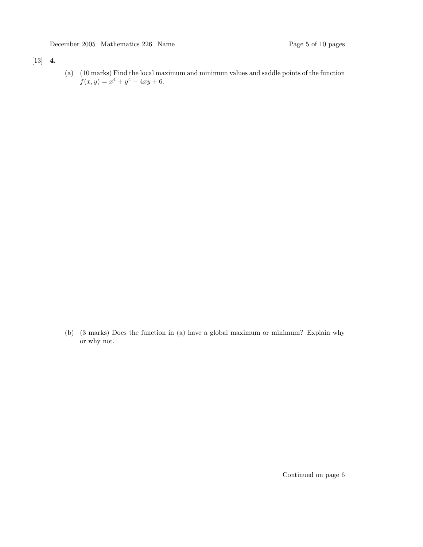# [13] 4.

(a) (10 marks) Find the local maximum and minimum values and saddle points of the function  $f(x, y) = x<sup>4</sup> + y<sup>4</sup> - 4xy + 6.$ 

(b) (3 marks) Does the function in (a) have a global maximum or minimum? Explain why or why not.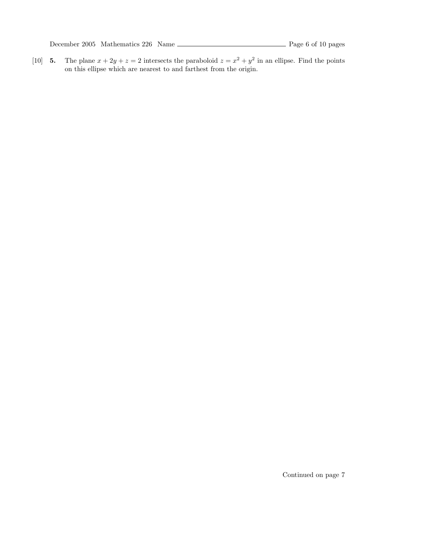December 2005 Mathematics 226 Name Rage 6 of 10 pages

[10] **5.** The plane  $x + 2y + z = 2$  intersects the paraboloid  $z = x^2 + y^2$  in an ellipse. Find the points on this ellipse which are nearest to and farthest from the origin.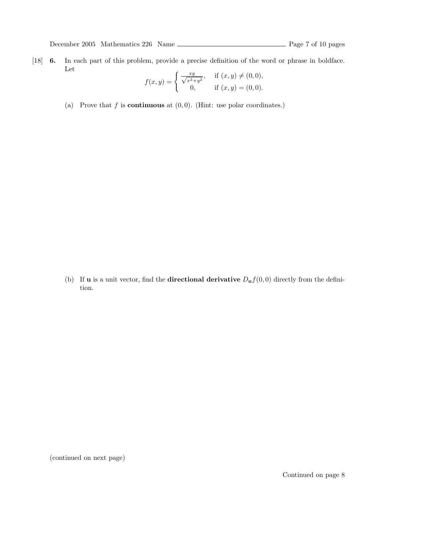[18] 6. In each part of this problem, provide a precise definition of the word or phrase in boldface. Let

$$
f(x,y) = \begin{cases} \frac{xy}{\sqrt{x^2 + y^2}}, & \text{if } (x,y) \neq (0,0), \\ 0, & \text{if } (x,y) = (0,0). \end{cases}
$$

(a) Prove that  $f$  is **continuous** at  $(0, 0)$ . (Hint: use polar coordinates.)

(b) If **u** is a unit vector, find the **directional derivative**  $D_{\mathbf{u}}f(0,0)$  directly from the definition.

(continued on next page)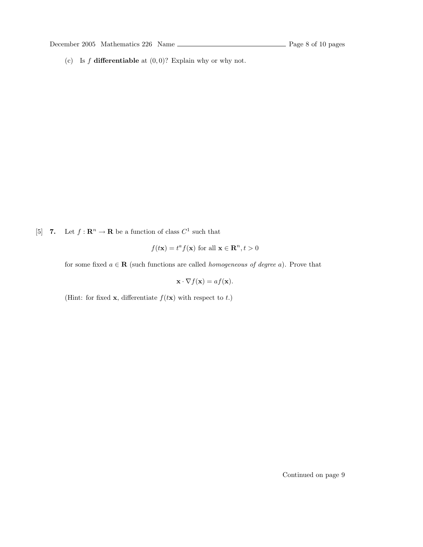(c) Is  $f$  differentiable at  $(0, 0)$ ? Explain why or why not.

[5] 7. Let  $f: \mathbf{R}^n \to \mathbf{R}$  be a function of class  $C^1$  such that

$$
f(t\mathbf{x}) = t^a f(\mathbf{x})
$$
 for all  $\mathbf{x} \in \mathbb{R}^n, t > 0$ 

for some fixed  $a \in \mathbf{R}$  (such functions are called *homogeneous of degree a*). Prove that

 $\mathbf{x} \cdot \nabla f(\mathbf{x}) = af(\mathbf{x}).$ 

(Hint: for fixed **x**, differentiate  $f(t**x**)$  with respect to t.)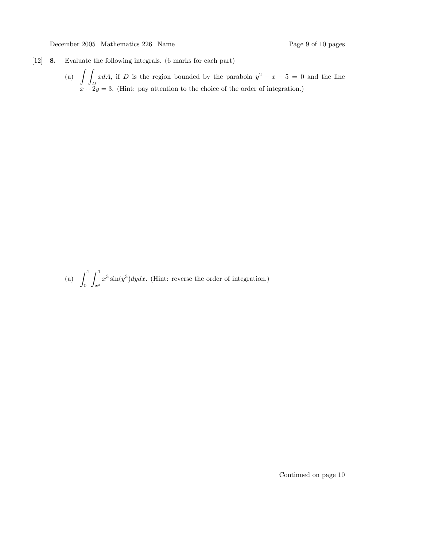- [12] 8. Evaluate the following integrals. (6 marks for each part)
	- (a)  $\int$ D xdA, if D is the region bounded by the parabola  $y^2 - x - 5 = 0$  and the line  $x + 2y = 3$ . (Hint: pay attention to the choice of the order of integration.)

(a)  $\int_1^1$ 0  $\int_0^1$  $x^2$  $x^3 \sin(y^3) dy dx$ . (Hint: reverse the order of integration.)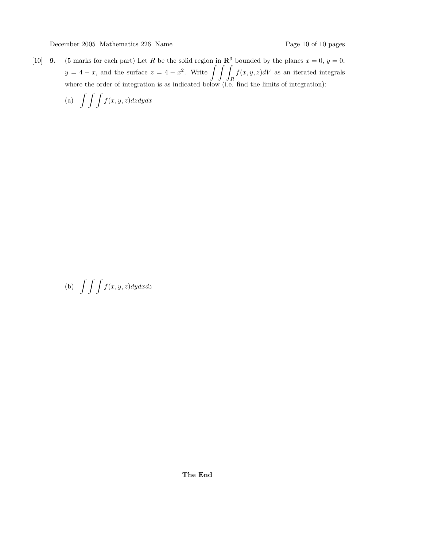[10] **9.** (5 marks for each part) Let R be the solid region in  $\mathbb{R}^3$  bounded by the planes  $x = 0$ ,  $y = 0$ ,  $y = 4 - x$ , and the surface  $z = 4 - x^2$ . Write  $\int \int$ R  $f(x, y, z)dV$  as an iterated integrals where the order of integration is as indicated below (i.e. find the limits of integration):

(a)  $\int \int \int f(x, y, z) dz dy dx$ 

(b)  $\int \int \int f(x, y, z) dy dx dz$ 

The End